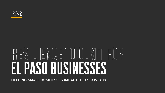

### $\left| \bigwedge^{\prime} \right|$ EL PASO BUSINESSES HELPING SMALL BUSINESSES IMPACTED BY COVID-19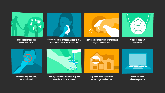**Avoid touching your eyes, nose, and mouth**



**Avoid close contact with people who are sick**

**Work from home whenever possible**





**Stay home when you are sick, except to get medical care**

**Wash your hands often with soap and water for at least 20 seconds**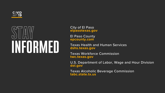

## INFORMATION

City of El Paso **elpasotexas.gov**

El Paso County **epcounty.com**

Texas Health and Human Services **dshs.texas.gov**

Texas Workforce Commission **twc.texas.gov**

U.S. Department of Labor, Wage and Hour Division

- **dol.gov**
	-

Texas Alcoholic Beverage Commission **tabc.state.tx.us**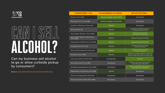

# ALCOHOL?

Can my business sell alcohol to-go or allow curbside pickup by consumers?

Source: www.tabc.state.tx.us/coronavirus/index.asp

### **LIC**

Brewer's

Manufact

Distiller's

Winery P

Wine & B

Wine & Be Permit (B)

Retail Dea

Package

Wine-Only

**Brewpub** 

Consumer

Mixed Ber

**Mixed Bey** 

Retail Dea

**Private CI** 

Private Cl

| <b>ENSE/PERMIT TYPE</b>                 | <b>TO-GO/PARKING LOT PICKUP</b>    | <b>OFF-SITE DELIVERY</b>                                                                              |
|-----------------------------------------|------------------------------------|-------------------------------------------------------------------------------------------------------|
| Permit (B)                              | Allowed (if eligible under 12.052) | Not allowed                                                                                           |
| urer's License (BA)                     | Allowed (if eligible under 62.122) | Not allowed                                                                                           |
| & Rectifier's Permit (D)                | <b>Allowed</b>                     | Not allowed                                                                                           |
| ermit (G)                               | <b>Allowed</b>                     | Allowed to be shipped to consumer<br>by holder of Carrier's Permit                                    |
| eer Retailer's Permit (BG)              | <b>Allowed</b>                     | Allowed through CD Permit<br>(Not allowed if also Brewpub)                                            |
| eer Retailer's Off-Premise<br><u>(C</u> | <b>Allowed</b>                     | Allowed through CD Permit                                                                             |
| ller's Off-Premise License (BF)         | <b>Allowed</b>                     | <b>Allowed through CD Permit</b>                                                                      |
| Store Permir (P)                        | <b>Allowed</b>                     | Allowed through Local Cartage<br>Permit or CD Permit                                                  |
| y Package Store Permit (Q)              | Allowed                            | Allowed through Local Cartage<br>Permit or CD Permit                                                  |
| License (BP)                            | Allowed                            | Allowed if also holding an MB and an FB, but not<br>allowed if the BP holds a BG Permit or BE license |
| r Delivery Permit (CD)                  | Not applicable                     | <b>Allowed</b>                                                                                        |
| verage Permit (MB)                      | Not allowed                        | Allowed for restaurants if they also have a<br>Food & Beverage Certificate (FB)                       |
| erage Restaurant Permit (RM)            | Not allowed                        | Allowed for restaurants if they also have a<br>Food & Beverage Certificate (FB)                       |
| ller's On-Premise License (BE)          | <b>Allowed</b>                     | Not allowed                                                                                           |
| ub Registration Permit (N)              | Not allowed                        | Not allowed                                                                                           |
| ub Beet & Wine Permit (NB)              | Not allowed                        | Not allowed                                                                                           |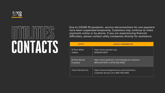

## CONTACTS

Due to COVID-19 pandemic, service disconnections for non-payment have been suspended temporarily. Customers may continue to make payments online or by phone. If you are experiencing financial difficulties, please contact utility companies directly for assistance.

| EN                            |
|-------------------------------|
| El Paso W<br><b>Utilities</b> |
| El Paso El<br><b>Company</b>  |
| Texas Ga                      |

| <b>ENTITY</b>            | <b>CONTACT INFORMATION</b>                                                         |
|--------------------------|------------------------------------------------------------------------------------|
| <b>El Paso Water</b>     | https://www.epwater.org/                                                           |
| <b>Utilities</b>         | $\overline{(915)594}$ -5500 $^{\prime}$                                            |
| <b>El Paso Electric</b>  | https://www.epelectric.com/message-to-customers                                    |
| Company                  | (915) 543-5970 or (575) 526-5555                                                   |
| <b>Texas Gas Service</b> | https://www.texasgasservice.com/coronavirus<br>Customer Service Line: 800-700-2443 |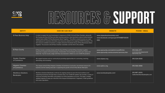





### ES C SUPPORT  $\sqrt{}$

|                                                                                                                                                                    | <b>WEBSITE</b>                                                               | <b>PHONE / EMAIL</b>                                 |
|--------------------------------------------------------------------------------------------------------------------------------------------------------------------|------------------------------------------------------------------------------|------------------------------------------------------|
| Paso Chamber, along with<br>d a suite of online business<br>meant to serve as a rapid<br>ing COVID-19 situation. The<br>, El Paso Businesses Stand<br>this website | www.elpasobusinesshelp.com/<br>www.facebook.com/groups/1375488742630<br>083/ |                                                      |
| Chamber to gather<br>as been put in place and<br>ve COVID-19 pandemic.                                                                                             | www.epcounty.com/admin/covid19.htm<br>www.epcounty.com/economic/services.htm | 915-546-2177<br>economicdevelopment@<br>epcounty.com |
| onnecting, coaching,                                                                                                                                               | www.elpaso.org                                                               | 915-534-0500                                         |
| re-eminent resource for<br><b>Border Metroplex.</b>                                                                                                                | www.ephcc.org                                                                | 915-566-4066                                         |
| e local workforce and<br>ates site provides a variety of<br>erve. The page is reliably<br>egislation, health guidelines                                            | www.borderplexjobs.com/                                                      | 915-887-2600;<br>Callcenter@borderplexjobs.com       |

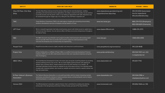| <b>ENTITY</b>                                    | <b>HOW WE CAN HELP</b>                                                                                                                                                                                                                                                                                                                                                                                                                                                                                                                                   | <b>WEBSITE</b>                                                 | <b>PHONE / EMAIL</b>                                                       |
|--------------------------------------------------|----------------------------------------------------------------------------------------------------------------------------------------------------------------------------------------------------------------------------------------------------------------------------------------------------------------------------------------------------------------------------------------------------------------------------------------------------------------------------------------------------------------------------------------------------------|----------------------------------------------------------------|----------------------------------------------------------------------------|
| City of El Paso- One Stop<br>Shop                | The One Stop Shop continues to be the primary intake point for land development, building<br>permitting, and most business license applications. Our lobby is closed to the public, but we continue<br>to provide services over the phone, online, or by making an appointment with staff. Inspections may<br>be scheduled through the Citygov app or by calling the City of El Paso's inspection line.                                                                                                                                                  | www.elpasotexas.gov/planning-and-<br>inspections/one-stop-shop | 915-313-6100 (Automated<br>line for inspections)<br>915-212-0104 (Permits) |
| <b>TWC</b>                                       | Texas Workforce Commission (TWC) is the state agency charged with overseeing and providing<br>workforce development services to employers and job seekers of Texas.                                                                                                                                                                                                                                                                                                                                                                                      | www.twc.texas.gov                                              | 866-274-1722 (Employers)<br>800-939-6631 (Claimants)                       |
| <b>LIFT Fund</b>                                 | We're a nonprofit organization that helps small business owners with limited access to capital have a<br>chance to live their dreams. You can visit our office in El Paso as we serve entrepreneurs throughout<br>the state of Texas.                                                                                                                                                                                                                                                                                                                    | www.elpaso.liftfund.com                                        | 1-888-215-2373                                                             |
| <b>SBA</b>                                       | The SBA's Economic Injury Disaster Loan program provides small businesses with working capital<br>loans of up to \$2 million that can provide vital economic support to small businesses to help<br>overcome the temporary loss of revenue they are experiencing.                                                                                                                                                                                                                                                                                        | www.sba.gov                                                    | 1-800-659-2955                                                             |
| People Fund                                      | PeopleFund provides access to capital, education and resources to small businesses.                                                                                                                                                                                                                                                                                                                                                                                                                                                                      | www.peoplefund.org/coronavirus                                 | 915-229-4648                                                               |
| <b>Project Vida</b>                              | El Paso Collaborative, an affiliate of Project VIDA, is a certified Community Development Financial<br>Institution (CDFI) who can offer small business loans to help cover operational expenses during this<br>time of emergency.                                                                                                                                                                                                                                                                                                                        | www.pvida.net/directory                                        | 915-533-7057 ext. 222<br>t.craig@pvida.net                                 |
| <b>SBDC Office</b>                               | The Small Business Development Center will remain open during the Covid-19 pandemic by providing<br>business advising services only on-line. We can assist eligible small businesses with applying for<br>disaster loans, business advice, market research and on-line 24/7 training on our website. All<br>interested individuals should consult our website for any of the above services. If an individual needs<br>to speak with a business advisor, also consult our website and send an email to a specific advisor and<br>they will contact them. | www.elpasosbdc.net                                             | 915-831-7743                                                               |
| <b>El Paso Veteran's Business</b><br>Association | The Veterans Business Association is a non-profit association with the mission of growing member<br>businesses, promoting the interests of veteran business owners, and becoming the voice of veteran<br>owned businesses in a competitive community.                                                                                                                                                                                                                                                                                                    | www.vbawebsite.com                                             | 915-534-0788 or<br>vbaelpaso@yahoo.com                                     |
| Horizon EDC                                      | The 4B development corporation supports Horizon City's commitment to creating and retaining<br>primary jobs in the fast-growing community in El Paso County, just east of The City of El Paso.                                                                                                                                                                                                                                                                                                                                                           | www.horizonedc.com                                             | <u>1915-852-1046 ext. 106 </u>                                             |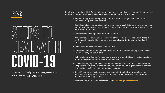# COVID-19

Steps to help your organization deal with COVID-19



Employers should establish firm requirements that any sick employees not enter the workplace in order to protect their fellow employees and other members of the public.

- 
- 
- 
- 
- 
- 
- 
- 
- 
- 
- 

• Emphasize appropriate respiratory etiquette (contain coughs and sneezes) and emphasize frequent hand washing.

• Establish policies and practices to increase the physical distance among employees and between employees and members of the public — social distancing — to reduce the spread of the virus.

• Cross train staff on essential functions to ensure business continuity while any key employees may be unavailable.

• Greet without shaking hands for the near future.

• Perform frequent environmental cleaning of the workplace, especially surfaces that are frequently touched in common areas (e.g. elevator buttons, door handles & knobs).

• Install alcohol-based hand sanitizer stations.

• Make available video conferencing software and phone bridges for virtual meetings rather than relying on in-person group meetings

• Consider changing workflow to sharing documents in the cloud, so collaboration is still possible with many remote employees. Ensure you have good security protocols in place for sensitive documents or work streams.

• Diversify supply chains to become less dependent on individual suppliers from territories that may be at greater risk of impacts from COVID-19, if your operation depends on such supply chains.

• Apply for an SBA disaster assistance loan **www.sba.gov/coronavirus**